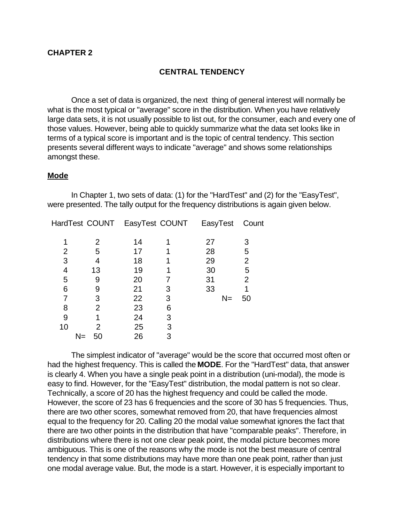# **CENTRAL TENDENCY**

Once a set of data is organized, the next thing of general interest will normally be what is the most typical or "average" score in the distribution. When you have relatively large data sets, it is not usually possible to list out, for the consumer, each and every one of those values. However, being able to quickly summarize what the data set looks like in terms of a typical score is important and is the topic of central tendency. This section presents several different ways to indicate "average" and shows some relationships amongst these.

## **Mode**

In Chapter 1, two sets of data: (1) for the "HardTest" and (2) for the "EasyTest", were presented. The tally output for the frequency distributions is again given below.

|    | HardTest COUNT EasyTest COUNT |    |   | EasyTest | Count |
|----|-------------------------------|----|---|----------|-------|
|    | 2                             | 14 |   | 27       | 3     |
| 2  | 5                             | 17 |   | 28       | 5     |
| 3  | 4                             | 18 |   | 29       | 2     |
| 4  | 13                            | 19 |   | 30       | 5     |
| 5  | 9                             | 20 |   | 31       | 2     |
| 6  | 9                             | 21 | 3 | 33       |       |
|    | 3                             | 22 | 3 | $N =$    | 50    |
| 8  | 2                             | 23 | 6 |          |       |
| 9  |                               | 24 | З |          |       |
| 10 | 2                             | 25 | 3 |          |       |
|    | N=<br>50                      | 26 | 3 |          |       |

The simplest indicator of "average" would be the score that occurred most often or had the highest frequency. This is called the **MODE**. For the "HardTest" data, that answer is clearly 4. When you have a single peak point in a distribution (uni-modal), the mode is easy to find. However, for the "EasyTest" distribution, the modal pattern is not so clear. Technically, a score of 20 has the highest frequency and could be called the mode. However, the score of 23 has 6 frequencies and the score of 30 has 5 frequencies. Thus, there are two other scores, somewhat removed from 20, that have frequencies almost equal to the frequency for 20. Calling 20 the modal value somewhat ignores the fact that there are two other points in the distribution that have "comparable peaks". Therefore, in distributions where there is not one clear peak point, the modal picture becomes more ambiguous. This is one of the reasons why the mode is not the best measure of central tendency in that some distributions may have more than one peak point, rather than just one modal average value. But, the mode is a start. However, it is especially important to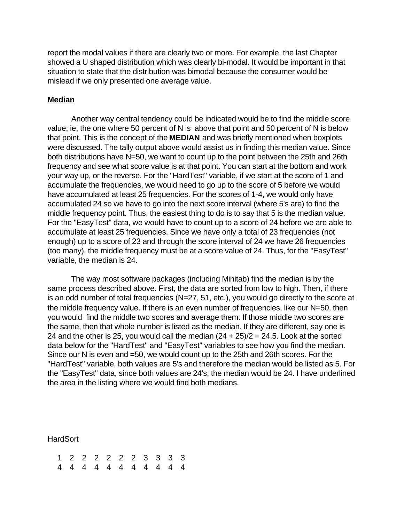report the modal values if there are clearly two or more. For example, the last Chapter showed a U shaped distribution which was clearly bi-modal. It would be important in that situation to state that the distribution was bimodal because the consumer would be mislead if we only presented one average value.

#### **Median**

Another way central tendency could be indicated would be to find the middle score value; ie, the one where 50 percent of N is above that point and 50 percent of N is below that point. This is the concept of the **MEDIAN** and was briefly mentioned when boxplots were discussed. The tally output above would assist us in finding this median value. Since both distributions have N=50, we want to count up to the point between the 25th and 26th frequency and see what score value is at that point. You can start at the bottom and work your way up, or the reverse. For the "HardTest" variable, if we start at the score of 1 and accumulate the frequencies, we would need to go up to the score of 5 before we would have accumulated at least 25 frequencies. For the scores of 1-4, we would only have accumulated 24 so we have to go into the next score interval (where 5's are) to find the middle frequency point. Thus, the easiest thing to do is to say that 5 is the median value. For the "EasyTest" data, we would have to count up to a score of 24 before we are able to accumulate at least 25 frequencies. Since we have only a total of 23 frequencies (not enough) up to a score of 23 and through the score interval of 24 we have 26 frequencies (too many), the middle frequency must be at a score value of 24. Thus, for the "EasyTest" variable, the median is 24.

The way most software packages (including Minitab) find the median is by the same process described above. First, the data are sorted from low to high. Then, if there is an odd number of total frequencies (N=27, 51, etc.), you would go directly to the score at the middle frequency value. If there is an even number of frequencies, like our N=50, then you would find the middle two scores and average them. If those middle two scores are the same, then that whole number is listed as the median. If they are different, say one is 24 and the other is 25, you would call the median  $(24 + 25)/2 = 24.5$ . Look at the sorted data below for the "HardTest" and "EasyTest" variables to see how you find the median. Since our N is even and =50, we would count up to the 25th and 26th scores. For the "HardTest" variable, both values are 5's and therefore the median would be listed as 5. For the "EasyTest" data, since both values are 24's, the median would be 24. I have underlined the area in the listing where we would find both medians.

**HardSort** 

|  | 1 2 2 2 2 2 2 3 3 3 3 |  |  |  |  |  |
|--|-----------------------|--|--|--|--|--|
|  | 4 4 4 4 4 4 4 4 4 4 4 |  |  |  |  |  |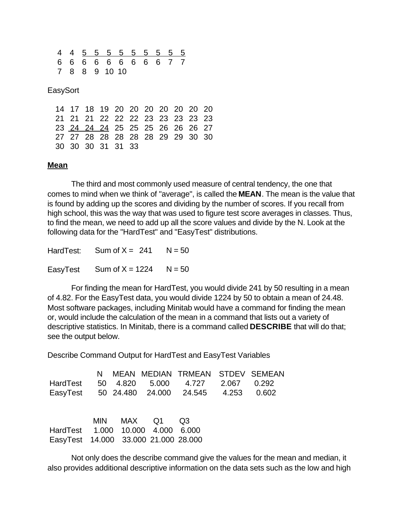|  |  | 4 4 5 5 5 5 5 5 5 5 5 |  |  |  |
|--|--|-----------------------|--|--|--|
|  |  | 6 6 6 6 6 6 6 6 7 7   |  |  |  |
|  |  | 7 8 8 9 10 10         |  |  |  |

#### **EasySort**

|  |                   |  | 14 17 18 19 20 20 20 20 20 20 20 |  |  |  |
|--|-------------------|--|----------------------------------|--|--|--|
|  |                   |  | 21 21 21 22 22 22 23 23 23 23 23 |  |  |  |
|  |                   |  | 23 24 24 24 25 25 25 26 26 26 27 |  |  |  |
|  |                   |  | 27 27 28 28 28 28 28 29 29 30 30 |  |  |  |
|  | 30 30 30 31 31 33 |  |                                  |  |  |  |

#### **Mean**

The third and most commonly used measure of central tendency, the one that comes to mind when we think of "average", is called the **MEAN**. The mean is the value that is found by adding up the scores and dividing by the number of scores. If you recall from high school, this was the way that was used to figure test score averages in classes. Thus, to find the mean, we need to add up all the score values and divide by the N. Look at the following data for the "HardTest" and "EasyTest" distributions.

HardTest: Sum of  $X = 241$  N = 50 EasyTest Sum of  $X = 1224$  N = 50

For finding the mean for HardTest, you would divide 241 by 50 resulting in a mean of 4.82. For the EasyTest data, you would divide 1224 by 50 to obtain a mean of 24.48. Most software packages, including Minitab would have a command for finding the mean or, would include the calculation of the mean in a command that lists out a variety of descriptive statistics. In Minitab, there is a command called **DESCRIBE** that will do that; see the output below.

Describe Command Output for HardTest and EasyTest Variables

| HardTest<br>EasyTest 50 24.480 24.000 24.545 4.253 0.602                  | N. | 50 4.820   | MEAN MEDIAN TRMEAN STDEV SEMEAN<br>5.000   4.727   2.067 | 0.292 |
|---------------------------------------------------------------------------|----|------------|----------------------------------------------------------|-------|
| HardTest 1.000 10.000 4.000 6.000<br>EasyTest 14.000 33.000 21.000 28.000 |    | MIN MAX Q1 | - Q3                                                     |       |

Not only does the describe command give the values for the mean and median, it also provides additional descriptive information on the data sets such as the low and high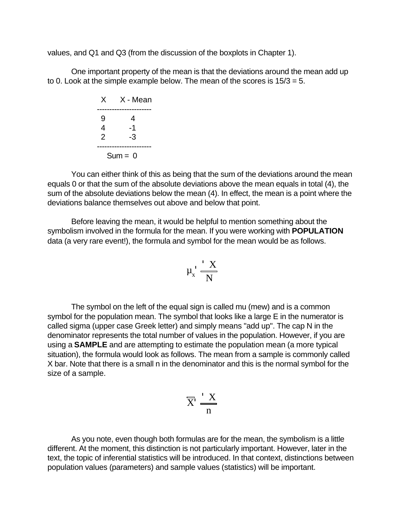values, and Q1 and Q3 (from the discussion of the boxplots in Chapter 1).

One important property of the mean is that the deviations around the mean add up to 0. Look at the simple example below. The mean of the scores is 15/3 = 5.

|   | X X-Mean  |
|---|-----------|
| g | 4         |
| 4 | -1        |
| 2 | -3        |
|   |           |
|   | $Sum = 0$ |

You can either think of this as being that the sum of the deviations around the mean equals 0 or that the sum of the absolute deviations above the mean equals in total (4), the sum of the absolute deviations below the mean (4). In effect, the mean is a point where the deviations balance themselves out above and below that point.

Before leaving the mean, it would be helpful to mention something about the symbolism involved in the formula for the mean. If you were working with **POPULATION** data (a very rare event!), the formula and symbol for the mean would be as follows.

$$
\mu_x \cdot \frac{X}{N}
$$

The symbol on the left of the equal sign is called mu (mew) and is a common symbol for the population mean. The symbol that looks like a large E in the numerator is called sigma (upper case Greek letter) and simply means "add up". The cap N in the denominator represents the total number of values in the population. However, if you are using a **SAMPLE** and are attempting to estimate the population mean (a more typical situation), the formula would look as follows. The mean from a sample is commonly called X bar. Note that there is a small n in the denominator and this is the normal symbol for the size of a sample.

$$
\overline{X}' \stackrel{\mathsf{I}}{\underset{\mathsf{n}}{\longrightarrow}} \frac{X}{n}
$$

As you note, even though both formulas are for the mean, the symbolism is a little different. At the moment, this distinction is not particularly important. However, later in the text, the topic of inferential statistics will be introduced. In that context, distinctions between population values (parameters) and sample values (statistics) will be important.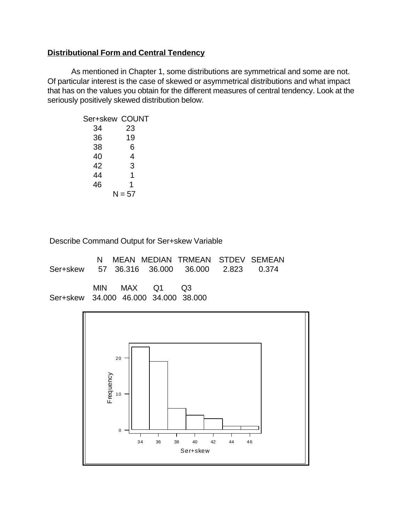# **Distributional Form and Central Tendency**

As mentioned in Chapter 1, some distributions are symmetrical and some are not. Of particular interest is the case of skewed or asymmetrical distributions and what impact that has on the values you obtain for the different measures of central tendency. Look at the seriously positively skewed distribution below.

| Ser+skew COUNT |          |
|----------------|----------|
| 34             | 23       |
| 36             | 19       |
| 38             | 6        |
| 40             | 4        |
| 42             | 3        |
| 44             | 1        |
| 46             | 1        |
|                | $N = 57$ |

Describe Command Output for Ser+skew Variable

|                                              |  |               |  | N MEAN MEDIAN TRMEAN STDEV SEMEAN |
|----------------------------------------------|--|---------------|--|-----------------------------------|
| Ser+skew 57 36.316 36.000 36.000 2.823 0.374 |  |               |  |                                   |
|                                              |  |               |  |                                   |
|                                              |  | MIN MAX Q1 Q3 |  |                                   |
| Ser+skew 34.000 46.000 34.000 38.000         |  |               |  |                                   |

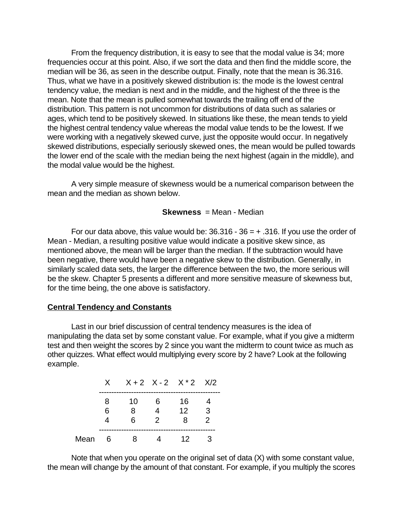From the frequency distribution, it is easy to see that the modal value is 34; more frequencies occur at this point. Also, if we sort the data and then find the middle score, the median will be 36, as seen in the describe output. Finally, note that the mean is 36.316. Thus, what we have in a positively skewed distribution is: the mode is the lowest central tendency value, the median is next and in the middle, and the highest of the three is the mean. Note that the mean is pulled somewhat towards the trailing off end of the distribution. This pattern is not uncommon for distributions of data such as salaries or ages, which tend to be positively skewed. In situations like these, the mean tends to yield the highest central tendency value whereas the modal value tends to be the lowest. If we were working with a negatively skewed curve, just the opposite would occur. In negatively skewed distributions, especially seriously skewed ones, the mean would be pulled towards the lower end of the scale with the median being the next highest (again in the middle), and the modal value would be the highest.

A very simple measure of skewness would be a numerical comparison between the mean and the median as shown below.

## **Skewness** = Mean - Median

For our data above, this value would be:  $36.316 - 36 = +0.316$ . If you use the order of Mean - Median, a resulting positive value would indicate a positive skew since, as mentioned above, the mean will be larger than the median. If the subtraction would have been negative, there would have been a negative skew to the distribution. Generally, in similarly scaled data sets, the larger the difference between the two, the more serious will be the skew. Chapter 5 presents a different and more sensitive measure of skewness but, for the time being, the one above is satisfactory.

# **Central Tendency and Constants**

Last in our brief discussion of central tendency measures is the idea of manipulating the data set by some constant value. For example, what if you give a midterm test and then weight the scores by 2 since you want the midterm to count twice as much as other quizzes. What effect would multiplying every score by 2 have? Look at the following example.

|      |   | $X$ $X+2$ $X-2$ $X*2$ $X/2$ |     |                 |   |
|------|---|-----------------------------|-----|-----------------|---|
|      | 8 | 10                          | -6  | 16              |   |
|      | 6 | 8                           |     | 12 <sup>°</sup> | ঽ |
|      |   | 6.                          | - 2 | 8               | 2 |
| Mean | 6 | я                           |     | 12.             |   |

Note that when you operate on the original set of data (X) with some constant value, the mean will change by the amount of that constant. For example, if you multiply the scores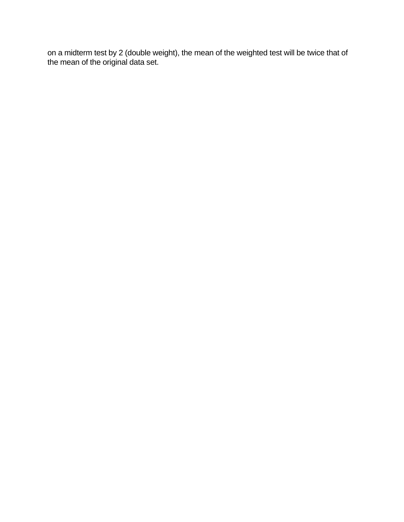on a midterm test by 2 (double weight), the mean of the weighted test will be twice that of the mean of the original data set.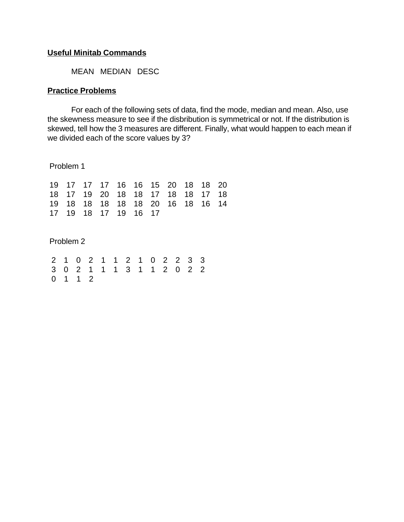## **Useful Minitab Commands**

MEAN MEDIAN DESC

## **Practice Problems**

For each of the following sets of data, find the mode, median and mean. Also, use the skewness measure to see if the disbribution is symmetrical or not. If the distribution is skewed, tell how the 3 measures are different. Finally, what would happen to each mean if we divided each of the score values by 3?

Problem 1

|  |                      |  | 19 17 17 17 16 16 15 20 18 18 20 |  |  |
|--|----------------------|--|----------------------------------|--|--|
|  |                      |  | 18 17 19 20 18 18 17 18 18 17 18 |  |  |
|  |                      |  | 19 18 18 18 18 18 20 16 18 16 14 |  |  |
|  | 17 19 18 17 19 16 17 |  |                                  |  |  |

Problem 2

|  |         |  | 2 1 0 2 1 1 2 1 0 2 2 3 3 |  |  |  |
|--|---------|--|---------------------------|--|--|--|
|  |         |  | 3 0 2 1 1 1 3 1 1 2 0 2 2 |  |  |  |
|  | 0 1 1 2 |  |                           |  |  |  |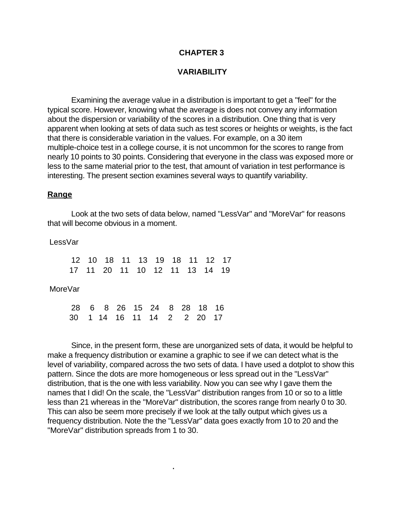# **CHAPTER 3**

## **VARIABILITY**

Examining the average value in a distribution is important to get a "feel" for the typical score. However, knowing what the average is does not convey any information about the dispersion or variability of the scores in a distribution. One thing that is very apparent when looking at sets of data such as test scores or heights or weights, is the fact that there is considerable variation in the values. For example, on a 30 item multiple-choice test in a college course, it is not uncommon for the scores to range from nearly 10 points to 30 points. Considering that everyone in the class was exposed more or less to the same material prior to the test, that amount of variation in test performance is interesting. The present section examines several ways to quantify variability.

#### **Range**

Look at the two sets of data below, named "LessVar" and "MoreVar" for reasons that will become obvious in a moment.

LessVar

12 10 18 11 13 19 18 11 12 17 17 11 20 11 10 12 11 13 14 19 MoreVar 28 6 8 26 15 24 8 28 18 16 30 1 14 16 11 14 2 2 20 17

**.** The contract of the contract of the contract of the contract of the contract of the contract of the contract of

Since, in the present form, these are unorganized sets of data, it would be helpful to make a frequency distribution or examine a graphic to see if we can detect what is the level of variability, compared across the two sets of data. I have used a dotplot to show this pattern. Since the dots are more homogeneous or less spread out in the "LessVar" distribution, that is the one with less variability. Now you can see why I gave them the names that I did! On the scale, the "LessVar" distribution ranges from 10 or so to a little less than 21 whereas in the "MoreVar" distribution, the scores range from nearly 0 to 30. This can also be seem more precisely if we look at the tally output which gives us a frequency distribution. Note the the "LessVar" data goes exactly from 10 to 20 and the "MoreVar" distribution spreads from 1 to 30.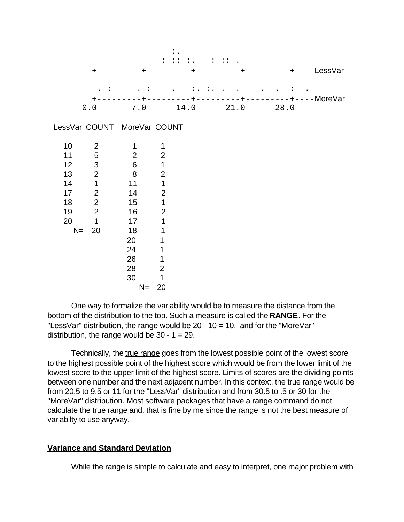|      |                |                             | $\ddot{\cdot}$ | $\ddot{\phantom{0}}$ |                     | $\mathbf{1}$ $\mathbf{1}$ $\mathbf{1}$ $\mathbf{1}$ |      | $---LessVar$        |
|------|----------------|-----------------------------|----------------|----------------------|---------------------|-----------------------------------------------------|------|---------------------|
|      |                |                             |                |                      | $\ddots$ : $\ddots$ |                                                     |      |                     |
|      | 0.0            |                             |                |                      | $+ - - - - - - - -$ | 7.0 14.0 21.0                                       | 28.0 | $------+---MoreVar$ |
|      |                | LessVar COUNT MoreVar COUNT |                |                      |                     |                                                     |      |                     |
| 10   | $\overline{2}$ | 1                           | 1              |                      |                     |                                                     |      |                     |
| 11   | 5              | $\mathbf{2}$                | $\mathbf{2}$   |                      |                     |                                                     |      |                     |
| 12   | 3              | $\overline{6}$              | $\overline{1}$ |                      |                     |                                                     |      |                     |
| 13   | $\overline{2}$ | $\,8\,$                     | $\overline{c}$ |                      |                     |                                                     |      |                     |
| 14   | $\mathbf{1}$   | 11                          | $\overline{1}$ |                      |                     |                                                     |      |                     |
| 17   | $\overline{2}$ | 14                          | $\overline{2}$ |                      |                     |                                                     |      |                     |
| 18   | $\overline{c}$ | 15                          | $\mathbf 1$    |                      |                     |                                                     |      |                     |
| 19   | $\overline{2}$ | 16                          | $\overline{2}$ |                      |                     |                                                     |      |                     |
| 20   | $\mathbf{1}$   | 17                          | $\mathbf 1$    |                      |                     |                                                     |      |                     |
| $N=$ | 20             | 18                          | 1              |                      |                     |                                                     |      |                     |
|      |                | 20                          | 1              |                      |                     |                                                     |      |                     |
|      |                | 24                          | 1              |                      |                     |                                                     |      |                     |
|      |                | 26                          | 1              |                      |                     |                                                     |      |                     |
|      |                | 28                          | $\overline{2}$ |                      |                     |                                                     |      |                     |
|      |                | 30                          | 1              |                      |                     |                                                     |      |                     |
|      |                | $N =$                       | 20             |                      |                     |                                                     |      |                     |

One way to formalize the variability would be to measure the distance from the bottom of the distribution to the top. Such a measure is called the **RANGE**. For the "LessVar" distribution, the range would be 20 - 10 = 10, and for the "MoreVar" distribution, the range would be  $30 - 1 = 29$ .

Technically, the true range goes from the lowest possible point of the lowest score to the highest possible point of the highest score which would be from the lower limit of the lowest score to the upper limit of the highest score. Limits of scores are the dividing points between one number and the next adjacent number. In this context, the true range would be from 20.5 to 9.5 or 11 for the "LessVar" distribution and from 30.5 to .5 or 30 for the "MoreVar" distribution. Most software packages that have a range command do not calculate the true range and, that is fine by me since the range is not the best measure of variabilty to use anyway.

# **Variance and Standard Deviation**

While the range is simple to calculate and easy to interpret, one major problem with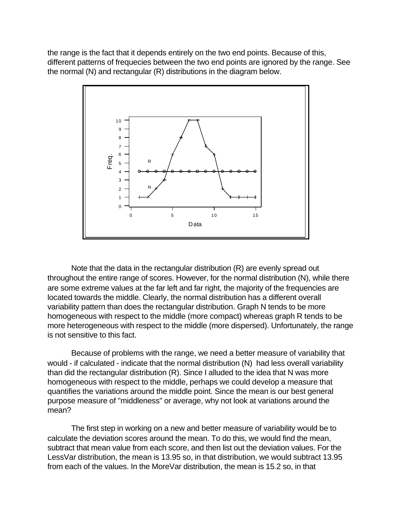the range is the fact that it depends entirely on the two end points. Because of this, different patterns of frequecies between the two end points are ignored by the range. See the normal (N) and rectangular (R) distributions in the diagram below.



Note that the data in the rectangular distribution (R) are evenly spread out throughout the entire range of scores. However, for the normal distribution (N), while there are some extreme values at the far left and far right, the majority of the frequencies are located towards the middle. Clearly, the normal distribution has a different overall variability pattern than does the rectangular distribution. Graph N tends to be more homogeneous with respect to the middle (more compact) whereas graph R tends to be more heterogeneous with respect to the middle (more dispersed). Unfortunately, the range is not sensitive to this fact.

Because of problems with the range, we need a better measure of variability that would - if calculated - indicate that the normal distribution (N) had less overall variability than did the rectangular distribution (R). Since I alluded to the idea that N was more homogeneous with respect to the middle, perhaps we could develop a measure that quantifies the variations around the middle point. Since the mean is our best general purpose measure of "middleness" or average, why not look at variations around the mean?

The first step in working on a new and better measure of variability would be to calculate the deviation scores around the mean. To do this, we would find the mean, subtract that mean value from each score, and then list out the deviation values. For the LessVar distribution, the mean is 13.95 so, in that distribution, we would subtract 13.95 from each of the values. In the MoreVar distribution, the mean is 15.2 so, in that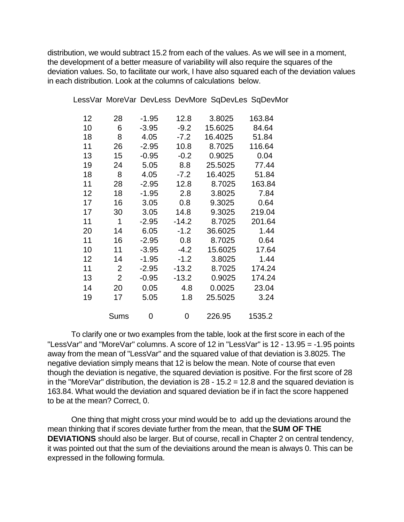distribution, we would subtract 15.2 from each of the values. As we will see in a moment, the development of a better measure of variability will also require the squares of the deviation values. So, to facilitate our work, I have also squared each of the deviation values in each distribution. Look at the columns of calculations below.

| 12 | 28             | $-1.95$ | 12.8    | 3.8025  | 163.84 |
|----|----------------|---------|---------|---------|--------|
| 10 | 6              | $-3.95$ | $-9.2$  | 15.6025 | 84.64  |
| 18 | 8              | 4.05    | $-7.2$  | 16.4025 | 51.84  |
| 11 | 26             | $-2.95$ | 10.8    | 8.7025  | 116.64 |
| 13 | 15             | $-0.95$ | $-0.2$  | 0.9025  | 0.04   |
| 19 | 24             | 5.05    | 8.8     | 25.5025 | 77.44  |
| 18 | 8              | 4.05    | $-7.2$  | 16.4025 | 51.84  |
| 11 | 28             | $-2.95$ | 12.8    | 8.7025  | 163.84 |
| 12 | 18             | $-1.95$ | 2.8     | 3.8025  | 7.84   |
| 17 | 16             | 3.05    | 0.8     | 9.3025  | 0.64   |
| 17 | 30             | 3.05    | 14.8    | 9.3025  | 219.04 |
| 11 | 1              | $-2.95$ | $-14.2$ | 8.7025  | 201.64 |
| 20 | 14             | 6.05    | $-1.2$  | 36.6025 | 1.44   |
| 11 | 16             | $-2.95$ | 0.8     | 8.7025  | 0.64   |
| 10 | 11             | $-3.95$ | $-4.2$  | 15.6025 | 17.64  |
| 12 | 14             | $-1.95$ | $-1.2$  | 3.8025  | 1.44   |
| 11 | $\overline{2}$ | $-2.95$ | $-13.2$ | 8.7025  | 174.24 |
| 13 | $\overline{2}$ | $-0.95$ | $-13.2$ | 0.9025  | 174.24 |
| 14 | 20             | 0.05    | 4.8     | 0.0025  | 23.04  |
| 19 | 17             | 5.05    | 1.8     | 25.5025 | 3.24   |
|    |                |         |         |         |        |
|    | <b>Sums</b>    | 0       | 0       | 226.95  | 1535.2 |

LessVar MoreVar DevLess DevMore SqDevLes SqDevMor

To clarify one or two examples from the table, look at the first score in each of the "LessVar" and "MoreVar" columns. A score of 12 in "LessVar" is 12 - 13.95 = -1.95 points away from the mean of "LessVar" and the squared value of that deviation is 3.8025. The negative deviation simply means that 12 is below the mean. Note of course that even though the deviation is negative, the squared deviation is positive. For the first score of 28 in the "MoreVar" distribution, the deviation is  $28 - 15.2 = 12.8$  and the squared deviation is 163.84. What would the deviation and squared deviation be if in fact the score happened to be at the mean? Correct, 0.

One thing that might cross your mind would be to add up the deviations around the mean thinking that if scores deviate further from the mean, that the **SUM OF THE DEVIATIONS** should also be larger. But of course, recall in Chapter 2 on central tendency, it was pointed out that the sum of the deviaitions around the mean is always 0. This can be expressed in the following formula.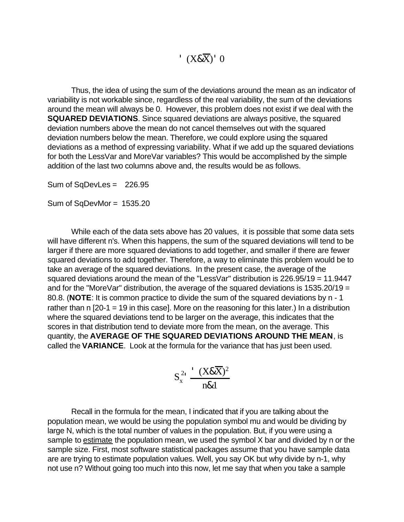$(X&\overline{X})$ <sup>'</sup> 0

Thus, the idea of using the sum of the deviations around the mean as an indicator of variability is not workable since, regardless of the real variability, the sum of the deviations around the mean will always be 0. However, this problem does not exist if we deal with the **SQUARED DEVIATIONS**. Since squared deviations are always positive, the squared deviation numbers above the mean do not cancel themselves out with the squared deviation numbers below the mean. Therefore, we could explore using the squared deviations as a method of expressing variability. What if we add up the squared deviations for both the LessVar and MoreVar variables? This would be accomplished by the simple addition of the last two columns above and, the results would be as follows.

Sum of SqDevLes = 226.95

Sum of SqDevMor = 1535.20

While each of the data sets above has 20 values, it is possible that some data sets will have different n's. When this happens, the sum of the squared deviations will tend to be larger if there are more squared deviations to add together, and smaller if there are fewer squared deviations to add together. Therefore, a way to eliminate this problem would be to take an average of the squared deviations. In the present case, the average of the squared deviations around the mean of the "LessVar" distribution is 226.95/19 = 11.9447 and for the "MoreVar" distribution, the average of the squared deviations is 1535.20/19 = 80.8. (**NOTE**: It is common practice to divide the sum of the squared deviations by n - 1 rather than n [20-1 = 19 in this case]. More on the reasoning for this later.) In a distribution where the squared deviations tend to be larger on the average, this indicates that the scores in that distribution tend to deviate more from the mean, on the average. This quantity, the **AVERAGE OF THE SQUARED DEVIATIONS AROUND THE MEAN**, is called the **VARIANCE**. Look at the formula for the variance that has just been used.

$$
S_x^2 \frac{-(X \& X)^2}{n \& 1}
$$

Recall in the formula for the mean, I indicated that if you are talking about the population mean, we would be using the population symbol mu and would be dividing by large N, which is the total number of values in the population. But, if you were using a sample to estimate the population mean, we used the symbol X bar and divided by n or the sample size. First, most software statistical packages assume that you have sample data are are trying to estimate population values. Well, you say OK but why divide by n-1, why not use n? Without going too much into this now, let me say that when you take a sample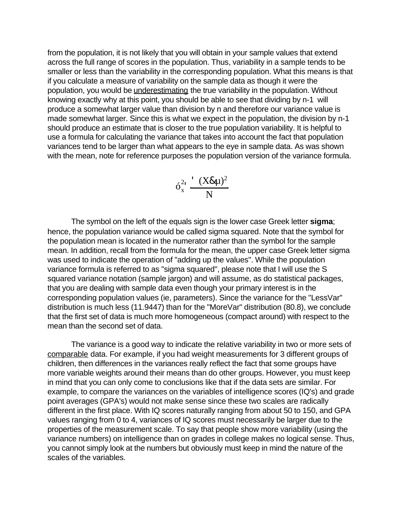from the population, it is not likely that you will obtain in your sample values that extend across the full range of scores in the population. Thus, variability in a sample tends to be smaller or less than the variability in the corresponding population. What this means is that if you calculate a measure of variability on the sample data as though it were the population, you would be *underestimating* the true variability in the population. Without knowing exactly why at this point, you should be able to see that dividing by n-1 will produce a somewhat larger value than division by n and therefore our variance value is made somewhat larger. Since this is what we expect in the population, the division by n-1 should produce an estimate that is closer to the true population variability. It is helpful to use a formula for calculating the variance that takes into account the fact that population variances tend to be larger than what appears to the eye in sample data. As was shown with the mean, note for reference purposes the population version of the variance formula.

$$
6_x^{2_1} \frac{ (X \& \mu)^2}{N}
$$

The symbol on the left of the equals sign is the lower case Greek letter **sigma**; hence, the population variance would be called sigma squared. Note that the symbol for the population mean is located in the numerator rather than the symbol for the sample mean. In addition, recall from the formula for the mean, the upper case Greek letter sigma was used to indicate the operation of "adding up the values". While the population variance formula is referred to as "sigma squared", please note that I will use the S squared variance notation (sample jargon) and will assume, as do statistical packages, that you are dealing with sample data even though your primary interest is in the corresponding population values (ie, parameters). Since the variance for the "LessVar" distribution is much less (11.9447) than for the "MoreVar" distribution (80.8), we conclude that the first set of data is much more homogeneous (compact around) with respect to the mean than the second set of data.

The variance is a good way to indicate the relative variability in two or more sets of comparable data. For example, if you had weight measurements for 3 different groups of children, then differences in the variances really reflect the fact that some groups have more variable weights around their means than do other groups. However, you must keep in mind that you can only come to conclusions like that if the data sets are similar. For example, to compare the variances on the variables of intelligence scores (IQ's) and grade point averages (GPA's) would not make sense since these two scales are radically different in the first place. With IQ scores naturally ranging from about 50 to 150, and GPA values ranging from 0 to 4, variances of IQ scores must necessarily be larger due to the properties of the measurement scale. To say that people show more variability (using the variance numbers) on intelligence than on grades in college makes no logical sense. Thus, you cannot simply look at the numbers but obviously must keep in mind the nature of the scales of the variables.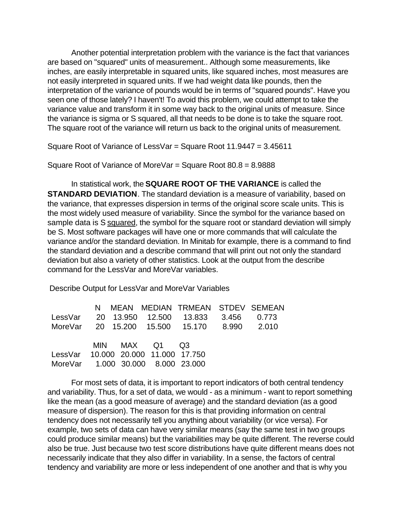Another potential interpretation problem with the variance is the fact that variances are based on "squared" units of measurement.. Although some measurements, like inches, are easily interpretable in squared units, like squared inches, most measures are not easily interpreted in squared units. If we had weight data like pounds, then the interpretation of the variance of pounds would be in terms of "squared pounds". Have you seen one of those lately? I haven't! To avoid this problem, we could attempt to take the variance value and transform it in some way back to the original units of measure. Since the variance is sigma or S squared, all that needs to be done is to take the square root. The square root of the variance will return us back to the original units of measurement.

Square Root of Variance of LessVar = Square Root 11.9447 = 3.45611

Square Root of Variance of MoreVar = Square Root 80.8 = 8.9888

In statistical work, the **SQUARE ROOT OF THE VARIANCE** is called the **STANDARD DEVIATION**. The standard deviation is a measure of variability, based on the variance, that expresses dispersion in terms of the original score scale units. This is the most widely used measure of variability. Since the symbol for the variance based on sample data is S squared, the symbol for the square root or standard deviation will simply be S. Most software packages will have one or more commands that will calculate the variance and/or the standard deviation. In Minitab for example, there is a command to find the standard deviation and a describe command that will print out not only the standard deviation but also a variety of other statistics. Look at the output from the describe command for the LessVar and MoreVar variables.

Describe Output for LessVar and MoreVar Variables

|                                     |  |               | N MEAN MEDIAN TRMEAN STDEV SEMEAN           |  |
|-------------------------------------|--|---------------|---------------------------------------------|--|
|                                     |  |               | LessVar 20 13.950 12.500 13.833 3.456 0.773 |  |
|                                     |  |               | MoreVar 20 15.200 15.500 15.170 8.990 2.010 |  |
|                                     |  |               |                                             |  |
|                                     |  | MIN MAX Q1 Q3 |                                             |  |
| LessVar 10.000 20.000 11.000 17.750 |  |               |                                             |  |
| MoreVar 1.000 30.000 8.000 23.000   |  |               |                                             |  |

For most sets of data, it is important to report indicators of both central tendency and variability. Thus, for a set of data, we would - as a minimum - want to report something like the mean (as a good measure of average) and the standard deviation (as a good measure of dispersion). The reason for this is that providing information on central tendency does not necessarily tell you anything about variability (or vice versa). For example, two sets of data can have very similar means (say the same test in two groups could produce similar means) but the variabilities may be quite different. The reverse could also be true. Just because two test score distributions have quite different means does not necessarily indicate that they also differ in variability. In a sense, the factors of central tendency and variability are more or less independent of one another and that is why you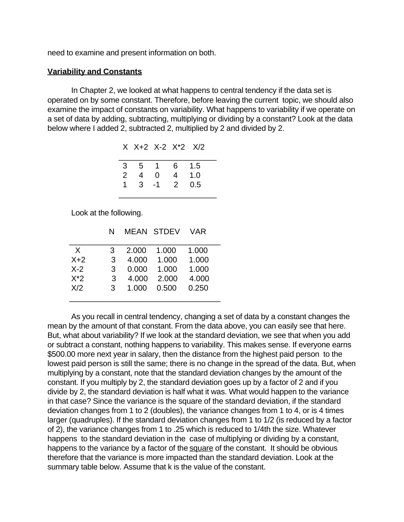need to examine and present information on both.

## **Variability and Constants**

In Chapter 2, we looked at what happens to central tendency if the data set is operated on by some constant. Therefore, before leaving the current topic, we should also examine the impact of constants on variability. What happens to variability if we operate on a set of data by adding, subtracting, multiplying or dividing by a constant? Look at the data below where I added 2, subtracted 2, multiplied by 2 and divided by 2.

|  | $X$ $X+2$ $X-2$ $X^*2$ $X/2$           |       |  |
|--|----------------------------------------|-------|--|
|  | 3 5 1 6 1.5                            |       |  |
|  | 2 4 0                                  | 4 1.0 |  |
|  | $1 \quad 3 \quad -1 \quad 2 \quad 0.5$ |       |  |
|  |                                        |       |  |

Look at the following.

|        | N |       | <b>MEAN STDEV</b> | <b>VAR</b> |
|--------|---|-------|-------------------|------------|
| X      | 3 | 2.000 | 1.000             | 1.000      |
| $X+2$  | 3 | 4.000 | 1.000             | 1.000      |
| $X-2$  | 3 | 0.000 | 1.000             | 1.000      |
| $X^*2$ | 3 | 4.000 | 2.000             | 4.000      |
| X/2    | 3 | 1.000 | 0.500             | 0.250      |
|        |   |       |                   |            |

As you recall in central tendency, changing a set of data by a constant changes the mean by the amount of that constant. From the data above, you can easily see that here. But, what about variability? If we look at the standard deviation, we see that when you add or subtract a constant, nothing happens to variability. This makes sense. If everyone earns \$500.00 more next year in salary, then the distance from the highest paid person to the lowest paid person is still the same; there is no change in the spread of the data. But, when multiplying by a constant, note that the standard deviation changes by the amount of the constant. If you multiply by 2, the standard deviation goes up by a factor of 2 and if you divide by 2, the standard deviation is half what it was. What would happen to the variance in that case? Since the variance is the square of the standard deviation, if the standard deviation changes from 1 to 2 (doubles), the variance changes from 1 to 4, or is 4 times larger (quadruples). If the standard deviation changes from 1 to 1/2 (is reduced by a factor of 2), the variance changes from 1 to .25 which is reduced to 1/4th the size. Whatever happens to the standard deviation in the case of multiplying or dividing by a constant, happens to the variance by a factor of the square of the constant. It should be obvious therefore that the variance is more impacted than the standard deviation. Look at the summary table below. Assume that k is the value of the constant.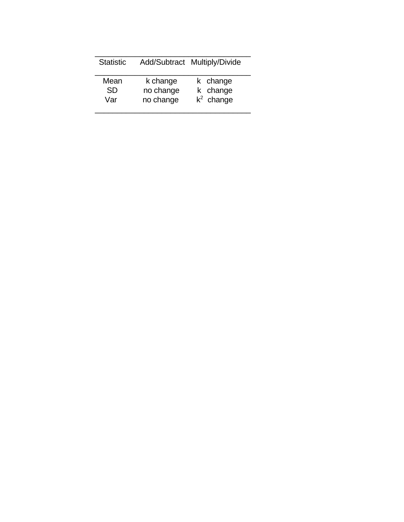| <b>Statistic</b> |           | Add/Subtract Multiply/Divide |
|------------------|-----------|------------------------------|
| Mean             | k change  | k change                     |
| <b>SD</b>        | no change | k change                     |
| Var              | no change | $k^2$ change                 |